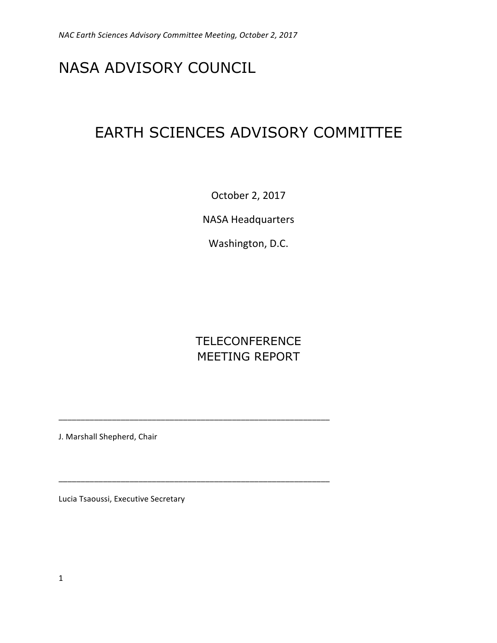# NASA ADVISORY COUNCIL

# EARTH SCIENCES ADVISORY COMMITTEE

October 2, 2017

**NASA Headquarters** 

Washington, D.C.

## **TELECONFERENCE** MEETING REPORT

\_\_\_\_\_\_\_\_\_\_\_\_\_\_\_\_\_\_\_\_\_\_\_\_\_\_\_\_\_\_\_\_\_\_\_\_\_\_\_\_\_\_\_\_\_\_\_\_\_\_\_\_\_\_\_\_\_\_\_\_\_

\_\_\_\_\_\_\_\_\_\_\_\_\_\_\_\_\_\_\_\_\_\_\_\_\_\_\_\_\_\_\_\_\_\_\_\_\_\_\_\_\_\_\_\_\_\_\_\_\_\_\_\_\_\_\_\_\_\_\_\_\_

J. Marshall Shepherd, Chair

Lucia Tsaoussi, Executive Secretary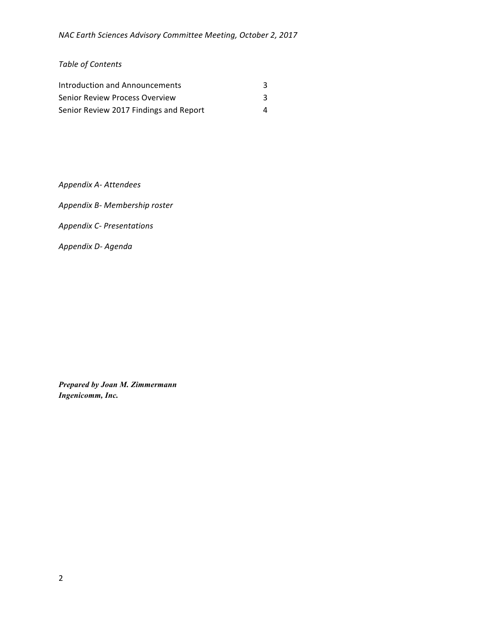### *Table of Contents*

| Introduction and Announcements         |  |
|----------------------------------------|--|
| Senior Review Process Overview         |  |
| Senior Review 2017 Findings and Report |  |

*Appendix A- Attendees*

*Appendix B- Membership roster*

*Appendix C- Presentations*

*Appendix D- Agenda*

*Prepared by Joan M. Zimmermann Ingenicomm, Inc.*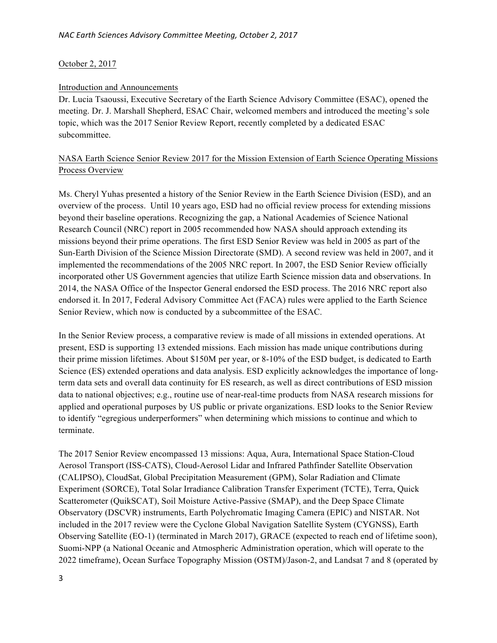#### October 2, 2017

#### Introduction and Announcements

Dr. Lucia Tsaoussi, Executive Secretary of the Earth Science Advisory Committee (ESAC), opened the meeting. Dr. J. Marshall Shepherd, ESAC Chair, welcomed members and introduced the meeting's sole topic, which was the 2017 Senior Review Report, recently completed by a dedicated ESAC subcommittee.

### NASA Earth Science Senior Review 2017 for the Mission Extension of Earth Science Operating Missions Process Overview

Ms. Cheryl Yuhas presented a history of the Senior Review in the Earth Science Division (ESD), and an overview of the process. Until 10 years ago, ESD had no official review process for extending missions beyond their baseline operations. Recognizing the gap, a National Academies of Science National Research Council (NRC) report in 2005 recommended how NASA should approach extending its missions beyond their prime operations. The first ESD Senior Review was held in 2005 as part of the Sun-Earth Division of the Science Mission Directorate (SMD). A second review was held in 2007, and it implemented the recommendations of the 2005 NRC report. In 2007, the ESD Senior Review officially incorporated other US Government agencies that utilize Earth Science mission data and observations. In 2014, the NASA Office of the Inspector General endorsed the ESD process. The 2016 NRC report also endorsed it. In 2017, Federal Advisory Committee Act (FACA) rules were applied to the Earth Science Senior Review, which now is conducted by a subcommittee of the ESAC.

In the Senior Review process, a comparative review is made of all missions in extended operations. At present, ESD is supporting 13 extended missions. Each mission has made unique contributions during their prime mission lifetimes. About \$150M per year, or 8-10% of the ESD budget, is dedicated to Earth Science (ES) extended operations and data analysis. ESD explicitly acknowledges the importance of longterm data sets and overall data continuity for ES research, as well as direct contributions of ESD mission data to national objectives; e.g., routine use of near-real-time products from NASA research missions for applied and operational purposes by US public or private organizations. ESD looks to the Senior Review to identify "egregious underperformers" when determining which missions to continue and which to terminate.

The 2017 Senior Review encompassed 13 missions: Aqua, Aura, International Space Station-Cloud Aerosol Transport (ISS-CATS), Cloud-Aerosol Lidar and Infrared Pathfinder Satellite Observation (CALIPSO), CloudSat, Global Precipitation Measurement (GPM), Solar Radiation and Climate Experiment (SORCE), Total Solar Irradiance Calibration Transfer Experiment (TCTE), Terra, Quick Scatterometer (QuikSCAT), Soil Moisture Active-Passive (SMAP), and the Deep Space Climate Observatory (DSCVR) instruments, Earth Polychromatic Imaging Camera (EPIC) and NISTAR. Not included in the 2017 review were the Cyclone Global Navigation Satellite System (CYGNSS), Earth Observing Satellite (EO-1) (terminated in March 2017), GRACE (expected to reach end of lifetime soon), Suomi-NPP (a National Oceanic and Atmospheric Administration operation, which will operate to the 2022 timeframe), Ocean Surface Topography Mission (OSTM)/Jason-2, and Landsat 7 and 8 (operated by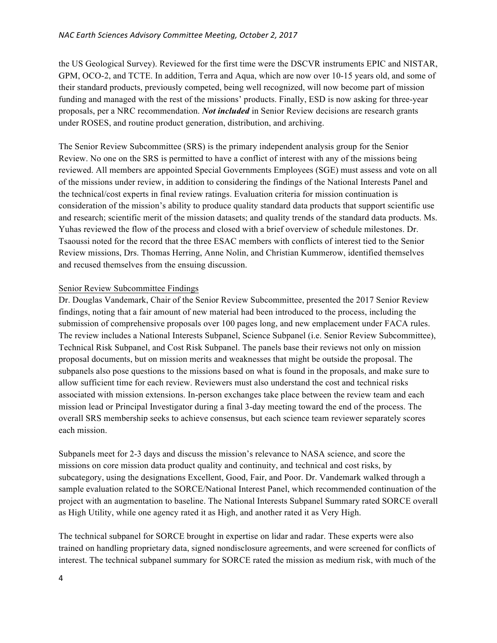the US Geological Survey). Reviewed for the first time were the DSCVR instruments EPIC and NISTAR, GPM, OCO-2, and TCTE. In addition, Terra and Aqua, which are now over 10-15 years old, and some of their standard products, previously competed, being well recognized, will now become part of mission funding and managed with the rest of the missions' products. Finally, ESD is now asking for three-year proposals, per a NRC recommendation. *Not included* in Senior Review decisions are research grants under ROSES, and routine product generation, distribution, and archiving.

The Senior Review Subcommittee (SRS) is the primary independent analysis group for the Senior Review. No one on the SRS is permitted to have a conflict of interest with any of the missions being reviewed. All members are appointed Special Governments Employees (SGE) must assess and vote on all of the missions under review, in addition to considering the findings of the National Interests Panel and the technical/cost experts in final review ratings. Evaluation criteria for mission continuation is consideration of the mission's ability to produce quality standard data products that support scientific use and research; scientific merit of the mission datasets; and quality trends of the standard data products. Ms. Yuhas reviewed the flow of the process and closed with a brief overview of schedule milestones. Dr. Tsaoussi noted for the record that the three ESAC members with conflicts of interest tied to the Senior Review missions, Drs. Thomas Herring, Anne Nolin, and Christian Kummerow, identified themselves and recused themselves from the ensuing discussion.

#### Senior Review Subcommittee Findings

Dr. Douglas Vandemark, Chair of the Senior Review Subcommittee, presented the 2017 Senior Review findings, noting that a fair amount of new material had been introduced to the process, including the submission of comprehensive proposals over 100 pages long, and new emplacement under FACA rules. The review includes a National Interests Subpanel, Science Subpanel (i.e. Senior Review Subcommittee), Technical Risk Subpanel, and Cost Risk Subpanel. The panels base their reviews not only on mission proposal documents, but on mission merits and weaknesses that might be outside the proposal. The subpanels also pose questions to the missions based on what is found in the proposals, and make sure to allow sufficient time for each review. Reviewers must also understand the cost and technical risks associated with mission extensions. In-person exchanges take place between the review team and each mission lead or Principal Investigator during a final 3-day meeting toward the end of the process. The overall SRS membership seeks to achieve consensus, but each science team reviewer separately scores each mission.

Subpanels meet for 2-3 days and discuss the mission's relevance to NASA science, and score the missions on core mission data product quality and continuity, and technical and cost risks, by subcategory, using the designations Excellent, Good, Fair, and Poor. Dr. Vandemark walked through a sample evaluation related to the SORCE/National Interest Panel, which recommended continuation of the project with an augmentation to baseline. The National Interests Subpanel Summary rated SORCE overall as High Utility, while one agency rated it as High, and another rated it as Very High.

The technical subpanel for SORCE brought in expertise on lidar and radar. These experts were also trained on handling proprietary data, signed nondisclosure agreements, and were screened for conflicts of interest. The technical subpanel summary for SORCE rated the mission as medium risk, with much of the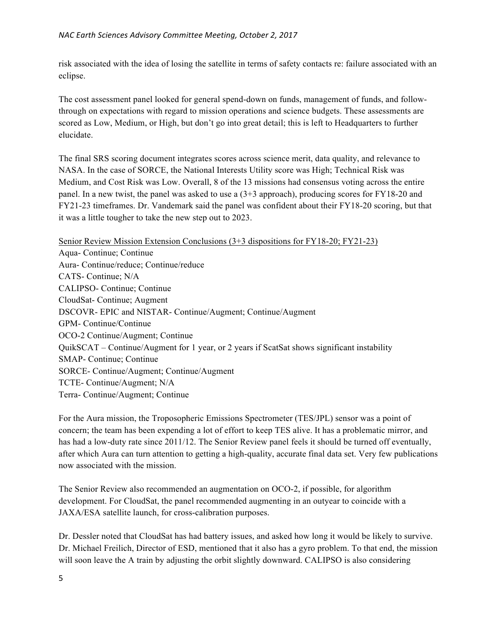risk associated with the idea of losing the satellite in terms of safety contacts re: failure associated with an eclipse.

The cost assessment panel looked for general spend-down on funds, management of funds, and followthrough on expectations with regard to mission operations and science budgets. These assessments are scored as Low, Medium, or High, but don't go into great detail; this is left to Headquarters to further elucidate.

The final SRS scoring document integrates scores across science merit, data quality, and relevance to NASA. In the case of SORCE, the National Interests Utility score was High; Technical Risk was Medium, and Cost Risk was Low. Overall, 8 of the 13 missions had consensus voting across the entire panel. In a new twist, the panel was asked to use a (3+3 approach), producing scores for FY18-20 and FY21-23 timeframes. Dr. Vandemark said the panel was confident about their FY18-20 scoring, but that it was a little tougher to take the new step out to 2023.

Senior Review Mission Extension Conclusions (3+3 dispositions for FY18-20; FY21-23) Aqua- Continue; Continue Aura- Continue/reduce; Continue/reduce CATS- Continue; N/A CALIPSO- Continue; Continue CloudSat- Continue; Augment DSCOVR- EPIC and NISTAR- Continue/Augment; Continue/Augment GPM- Continue/Continue OCO-2 Continue/Augment; Continue QuikSCAT – Continue/Augment for 1 year, or 2 years if ScatSat shows significant instability SMAP- Continue; Continue SORCE- Continue/Augment; Continue/Augment TCTE- Continue/Augment; N/A Terra- Continue/Augment; Continue

For the Aura mission, the Troposopheric Emissions Spectrometer (TES/JPL) sensor was a point of concern; the team has been expending a lot of effort to keep TES alive. It has a problematic mirror, and has had a low-duty rate since 2011/12. The Senior Review panel feels it should be turned off eventually, after which Aura can turn attention to getting a high-quality, accurate final data set. Very few publications now associated with the mission.

The Senior Review also recommended an augmentation on OCO-2, if possible, for algorithm development. For CloudSat, the panel recommended augmenting in an outyear to coincide with a JAXA/ESA satellite launch, for cross-calibration purposes.

Dr. Dessler noted that CloudSat has had battery issues, and asked how long it would be likely to survive. Dr. Michael Freilich, Director of ESD, mentioned that it also has a gyro problem. To that end, the mission will soon leave the A train by adjusting the orbit slightly downward. CALIPSO is also considering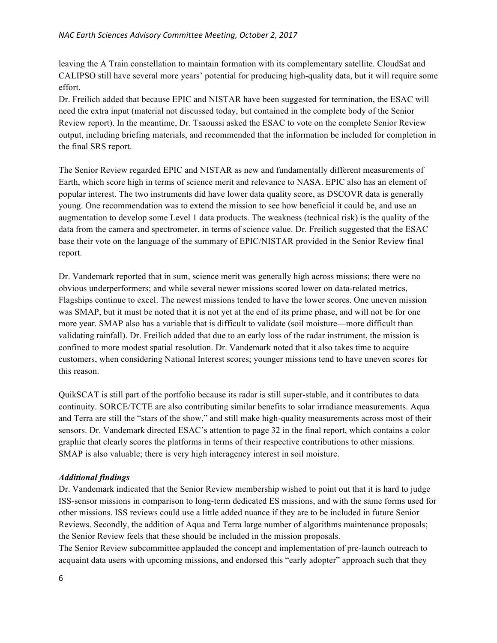leaving the A Train constellation to maintain formation with its complementary satellite. CloudSat and CALIPSO still have several more years' potential for producing high-quality data, but it will require some effort.

Dr. Freilich added that because EPIC and NISTAR have been suggested for termination, the ESAC will need the extra input (material not discussed today, but contained in the complete body of the Senior Review report). In the meantime, Dr. Tsaoussi asked the ESAC to vote on the complete Senior Review output, including briefing materials, and recommended that the information be included for completion in the final SRS report.

The Senior Review regarded EPIC and NISTAR as new and fundamentally different measurements of Earth, which score high in terms of science merit and relevance to NASA. EPIC also has an element of popular interest. The two instruments did have lower data quality score, as DSCOVR data is generally young. One recommendation was to extend the mission to see how beneficial it could be, and use an augmentation to develop some Level 1 data products. The weakness (technical risk) is the quality of the data from the camera and spectrometer, in terms of science value. Dr. Freilich suggested that the ESAC base their vote on the language of the summary of EPIC/NISTAR provided in the Senior Review final report.

Dr. Vandemark reported that in sum, science merit was generally high across missions; there were no obvious underperformers; and while several newer missions scored lower on data-related metrics, Flagships continue to excel. The newest missions tended to have the lower scores. One uneven mission was SMAP, but it must be noted that it is not yet at the end of its prime phase, and will not be for one more year. SMAP also has a variable that is difficult to validate (soil moisture—more difficult than validating rainfall). Dr. Freilich added that due to an early loss of the radar instrument, the mission is confined to more modest spatial resolution. Dr. Vandemark noted that it also takes time to acquire customers, when considering National Interest scores; younger missions tend to have uneven scores for this reason.

QuikSCAT is still part of the portfolio because its radar is still super-stable, and it contributes to data continuity. SORCE/TCTE are also contributing similar benefits to solar irradiance measurements. Aqua and Terra are still the "stars of the show," and still make high-quality measurements across most of their sensors. Dr. Vandemark directed ESAC's attention to page 32 in the final report, which contains a color graphic that clearly scores the platforms in terms of their respective contributions to other missions. SMAP is also valuable; there is very high interagency interest in soil moisture.

### *Additional findings*

Dr. Vandemark indicated that the Senior Review membership wished to point out that it is hard to judge ISS-sensor missions in comparison to long-term dedicated ES missions, and with the same forms used for other missions. ISS reviews could use a little added nuance if they are to be included in future Senior Reviews. Secondly, the addition of Aqua and Terra large number of algorithms maintenance proposals; the Senior Review feels that these should be included in the mission proposals.

The Senior Review subcommittee applauded the concept and implementation of pre-launch outreach to acquaint data users with upcoming missions, and endorsed this "early adopter" approach such that they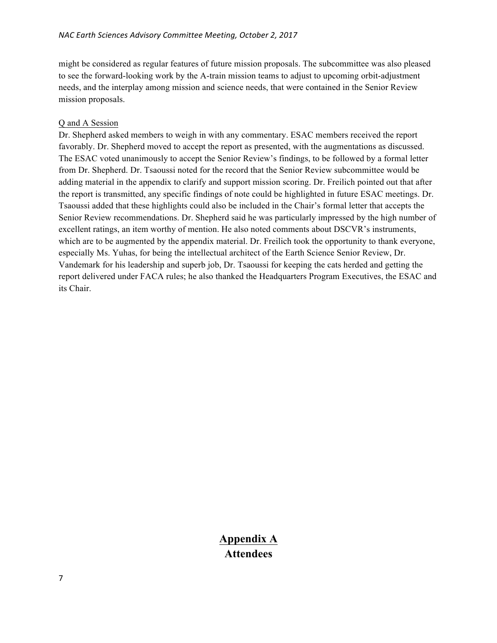might be considered as regular features of future mission proposals. The subcommittee was also pleased to see the forward-looking work by the A-train mission teams to adjust to upcoming orbit-adjustment needs, and the interplay among mission and science needs, that were contained in the Senior Review mission proposals.

#### Q and A Session

Dr. Shepherd asked members to weigh in with any commentary. ESAC members received the report favorably. Dr. Shepherd moved to accept the report as presented, with the augmentations as discussed. The ESAC voted unanimously to accept the Senior Review's findings, to be followed by a formal letter from Dr. Shepherd. Dr. Tsaoussi noted for the record that the Senior Review subcommittee would be adding material in the appendix to clarify and support mission scoring. Dr. Freilich pointed out that after the report is transmitted, any specific findings of note could be highlighted in future ESAC meetings. Dr. Tsaoussi added that these highlights could also be included in the Chair's formal letter that accepts the Senior Review recommendations. Dr. Shepherd said he was particularly impressed by the high number of excellent ratings, an item worthy of mention. He also noted comments about DSCVR's instruments, which are to be augmented by the appendix material. Dr. Freilich took the opportunity to thank everyone, especially Ms. Yuhas, for being the intellectual architect of the Earth Science Senior Review, Dr. Vandemark for his leadership and superb job, Dr. Tsaoussi for keeping the cats herded and getting the report delivered under FACA rules; he also thanked the Headquarters Program Executives, the ESAC and its Chair.

### **Appendix A Attendees**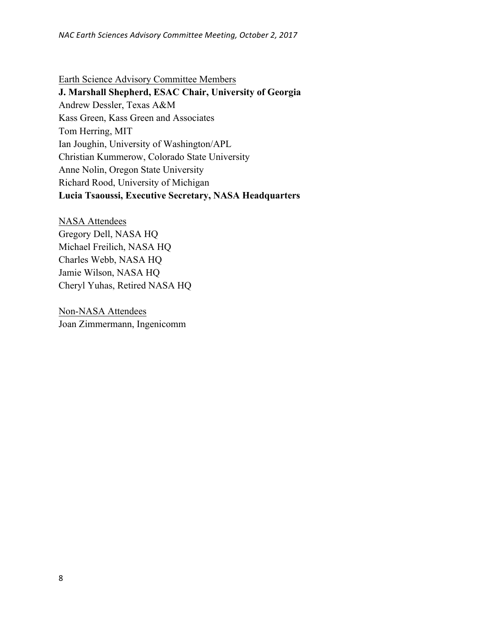Earth Science Advisory Committee Members **J. Marshall Shepherd, ESAC Chair, University of Georgia** Andrew Dessler, Texas A&M Kass Green, Kass Green and Associates Tom Herring, MIT Ian Joughin, University of Washington/APL Christian Kummerow, Colorado State University Anne Nolin, Oregon State University Richard Rood, University of Michigan **Lucia Tsaoussi, Executive Secretary, NASA Headquarters**

NASA Attendees Gregory Dell, NASA HQ Michael Freilich, NASA HQ Charles Webb, NASA HQ Jamie Wilson, NASA HQ Cheryl Yuhas, Retired NASA HQ

Non-NASA Attendees Joan Zimmermann, Ingenicomm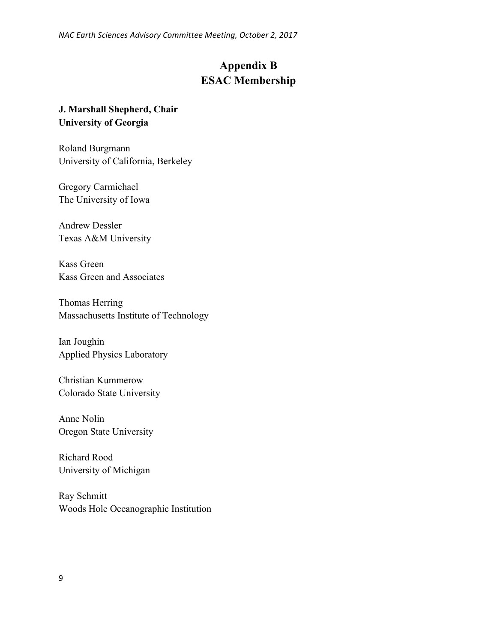*NAC Earth Sciences Advisory Committee Meeting, October 2, 2017*

### **Appendix B ESAC Membership**

### **J. Marshall Shepherd, Chair University of Georgia**

Roland Burgmann University of California, Berkeley

Gregory Carmichael The University of Iowa

Andrew Dessler Texas A&M University

Kass Green Kass Green and Associates

Thomas Herring Massachusetts Institute of Technology

Ian Joughin Applied Physics Laboratory

Christian Kummerow Colorado State University

Anne Nolin Oregon State University

Richard Rood University of Michigan

Ray Schmitt Woods Hole Oceanographic Institution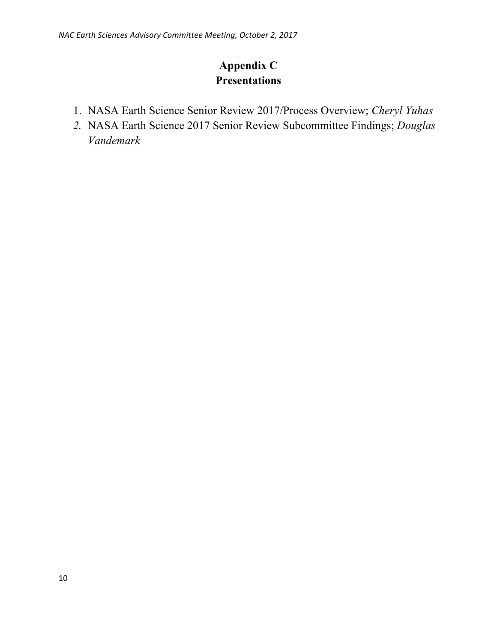### **Appendix C Presentations**

- 1. NASA Earth Science Senior Review 2017/Process Overview; *Cheryl Yuhas*
- *2.* NASA Earth Science 2017 Senior Review Subcommittee Findings; *Douglas Vandemark*